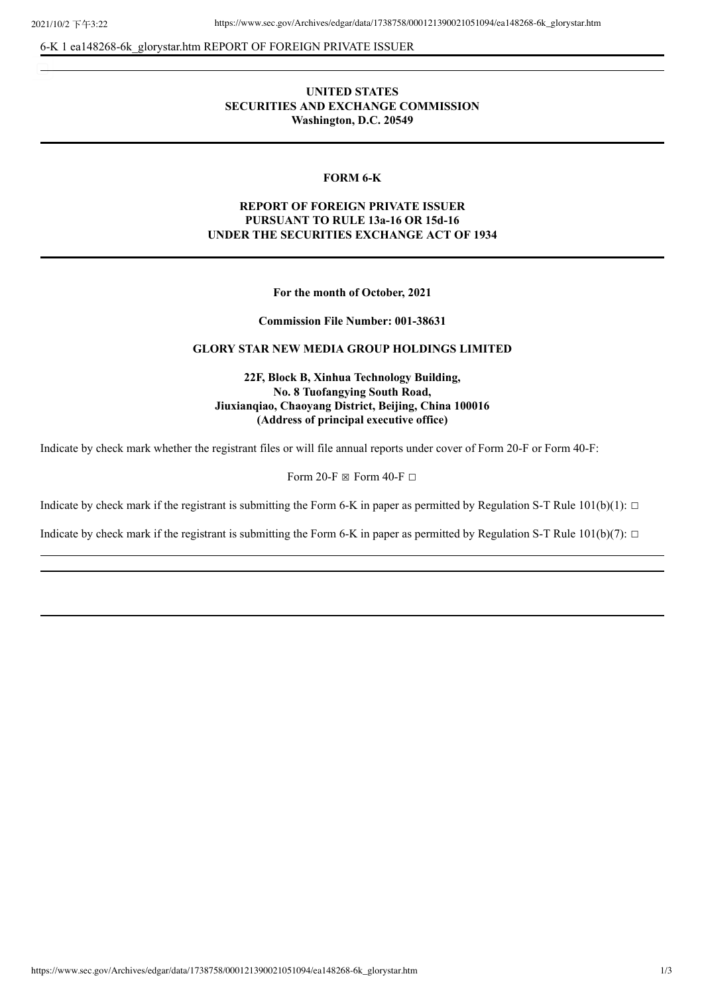6-K 1 ea148268-6k\_glorystar.htm REPORT OF FOREIGN PRIVATE ISSUER

# **UNITED STATES SECURITIES AND EXCHANGE COMMISSION Washington, D.C. 20549**

### **FORM 6-K**

# **REPORT OF FOREIGN PRIVATE ISSUER PURSUANT TO RULE 13a-16 OR 15d-16 UNDER THE SECURITIES EXCHANGE ACT OF 1934**

**For the month of October, 2021**

**Commission File Number: 001-38631**

## **GLORY STAR NEW MEDIA GROUP HOLDINGS LIMITED**

**22F, Block B, Xinhua Technology Building, No. 8 Tuofangying South Road, Jiuxianqiao, Chaoyang District, Beijing, China 100016 (Address of principal executive office)**

Indicate by check mark whether the registrant files or will file annual reports under cover of Form 20-F or Form 40-F:

Form 20-F  $\boxtimes$  Form 40-F  $\Box$ 

Indicate by check mark if the registrant is submitting the Form 6-K in paper as permitted by Regulation S-T Rule  $101(b)(1)$ :  $\Box$ 

Indicate by check mark if the registrant is submitting the Form 6-K in paper as permitted by Regulation S-T Rule  $101(b)(7)$ :  $\Box$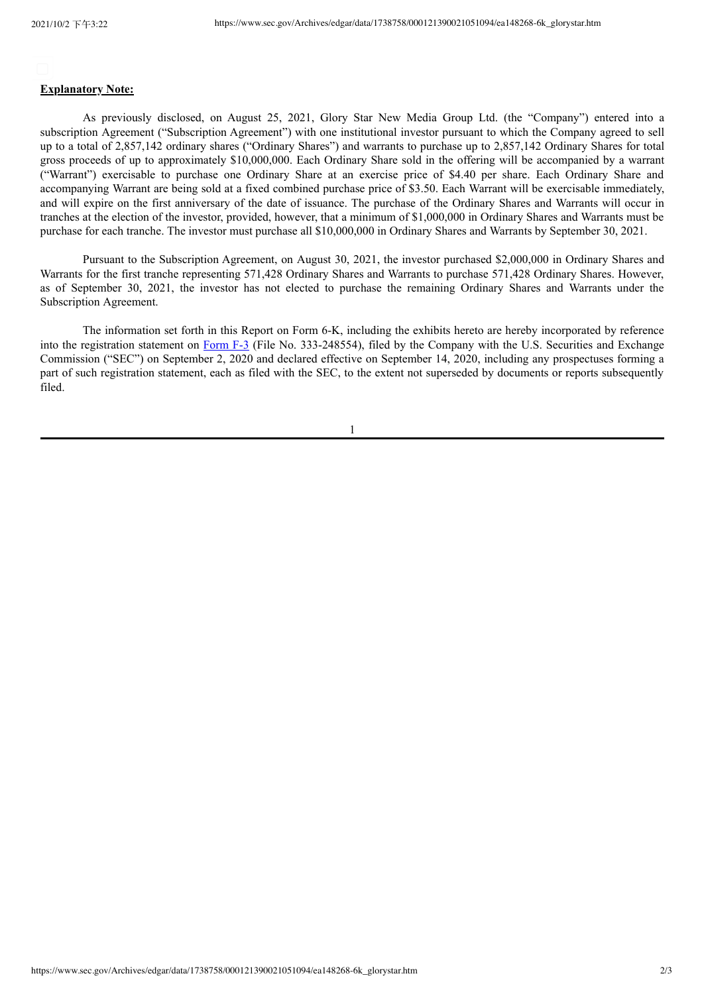## **Explanatory Note:**

As previously disclosed, on August 25, 2021, Glory Star New Media Group Ltd. (the "Company") entered into a subscription Agreement ("Subscription Agreement") with one institutional investor pursuant to which the Company agreed to sell up to a total of 2,857,142 ordinary shares ("Ordinary Shares") and warrants to purchase up to 2,857,142 Ordinary Shares for total gross proceeds of up to approximately \$10,000,000. Each Ordinary Share sold in the offering will be accompanied by a warrant ("Warrant") exercisable to purchase one Ordinary Share at an exercise price of \$4.40 per share. Each Ordinary Share and accompanying Warrant are being sold at a fixed combined purchase price of \$3.50. Each Warrant will be exercisable immediately, and will expire on the first anniversary of the date of issuance. The purchase of the Ordinary Shares and Warrants will occur in tranches at the election of the investor, provided, however, that a minimum of \$1,000,000 in Ordinary Shares and Warrants must be purchase for each tranche. The investor must purchase all \$10,000,000 in Ordinary Shares and Warrants by September 30, 2021.

Pursuant to the Subscription Agreement, on August 30, 2021, the investor purchased \$2,000,000 in Ordinary Shares and Warrants for the first tranche representing 571,428 Ordinary Shares and Warrants to purchase 571,428 Ordinary Shares. However, as of September 30, 2021, the investor has not elected to purchase the remaining Ordinary Shares and Warrants under the Subscription Agreement.

The information set forth in this Report on Form 6-K, including the exhibits hereto are hereby incorporated by reference into the registration statement on [Form](http://www.sec.gov/Archives/edgar/data/1738758/000121390020025033/ea126257-f3_glorystar.htm) F-3 (File No. 333-248554), filed by the Company with the U.S. Securities and Exchange Commission ("SEC") on September 2, 2020 and declared effective on September 14, 2020, including any prospectuses forming a part of such registration statement, each as filed with the SEC, to the extent not superseded by documents or reports subsequently filed.

1